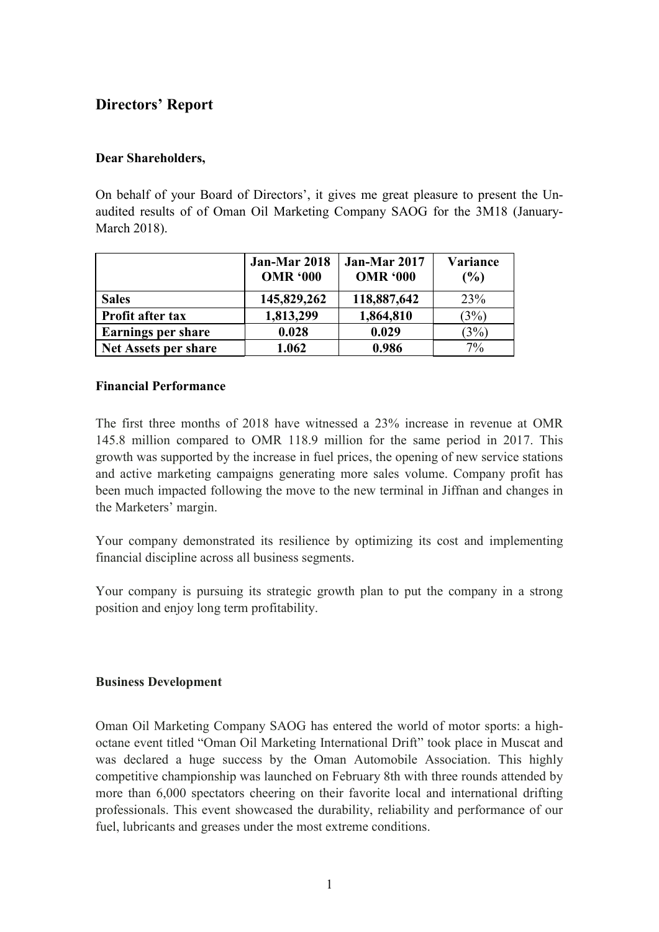# **Directors' Report**

# **Dear Shareholders,**

On behalf of your Board of Directors', it gives me great pleasure to present the Unaudited results of of Oman Oil Marketing Company SAOG for the 3M18 (January-March 2018).

|                             | Jan-Mar 2018<br><b>OMR '000</b> | Jan-Mar 2017<br><b>OMR '000</b> | Variance<br>(%) |
|-----------------------------|---------------------------------|---------------------------------|-----------------|
| <b>Sales</b>                | 145,829,262                     | 118,887,642                     | 23%             |
| Profit after tax            | 1,813,299                       | 1,864,810                       | (3%)            |
| <b>Earnings per share</b>   | 0.028                           | 0.029                           | (3%)            |
| <b>Net Assets per share</b> | 1.062                           | 0.986                           | $7\%$           |

#### **Financial Performance**

The first three months of 2018 have witnessed a 23% increase in revenue at OMR 145.8 million compared to OMR 118.9 million for the same period in 2017. This growth was supported by the increase in fuel prices, the opening of new service stations and active marketing campaigns generating more sales volume. Company profit has been much impacted following the move to the new terminal in Jiffnan and changes in the Marketers' margin.

Your company demonstrated its resilience by optimizing its cost and implementing financial discipline across all business segments.

Your company is pursuing its strategic growth plan to put the company in a strong position and enjoy long term profitability.

# **Business Development**

Oman Oil Marketing Company SAOG has entered the world of motor sports: a highoctane event titled "Oman Oil Marketing International Drift" took place in Muscat and was declared a huge success by the Oman Automobile Association. This highly competitive championship was launched on February 8th with three rounds attended by more than 6,000 spectators cheering on their favorite local and international drifting professionals. This event showcased the durability, reliability and performance of our fuel, lubricants and greases under the most extreme conditions.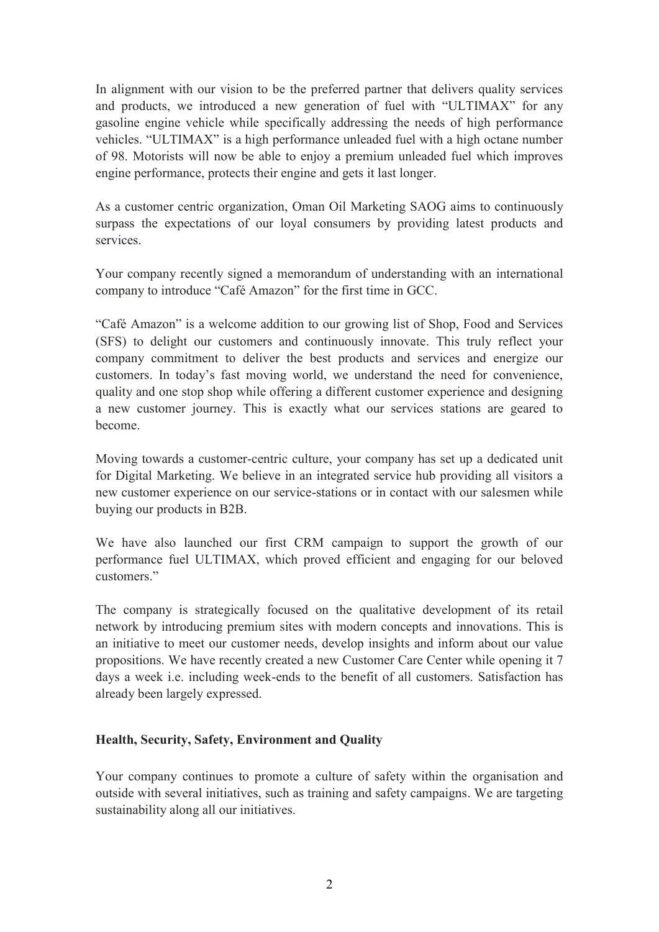In alignment with our vision to be the preferred partner that delivers quality services and products, we introduced a new generation of fuel with "ULTIMAX" for any gasoline engine vehicle while specifically addressing the needs of high performance vehicles. "ULTIMAX" is a high performance unleaded fuel with a high octane number of 98. Motorists will now be able to enjoy a premium unleaded fuel which improves engine performance, protects their engine and gets it last longer.

As a customer centric organization, Oman Oil Marketing SAOG aims to continuously surpass the expectations of our loyal consumers by providing latest products and services.

Your company recently signed a memorandum of understanding with an international company to introduce "Café Amazon" for the first time in GCC.

"Café Amazon" is a welcome addition to our growing list of Shop, Food and Services (SFS) to delight our customers and continuously innovate. This truly reflect your company commitment to deliver the best products and services and energize our customers. In today's fast moving world, we understand the need for convenience, quality and one stop shop while offering a different customer experience and designing a new customer journey. This is exactly what our services stations are geared to become.

Moving towards a customer-centric culture, your company has set up a dedicated unit for Digital Marketing. We believe in an integrated service hub providing all visitors a new customer experience on our service-stations or in contact with our salesmen while buying our products in B2B.

We have also launched our first CRM campaign to support the growth of our performance fuel ULTIMAX, which proved efficient and engaging for our beloved customers."

The company is strategically focused on the qualitative development of its retail network by introducing premium sites with modern concepts and innovations. This is an initiative to meet our customer needs, develop insights and inform about our value propositions. We have recently created a new Customer Care Center while opening it 7 days a week i.e. including week-ends to the benefit of all customers. Satisfaction has already been largely expressed.

# **Health, Security, Safety, Environment and Quality**

Your company continues to promote a culture of safety within the organisation and outside with several initiatives, such as training and safety campaigns. We are targeting sustainability along all our initiatives.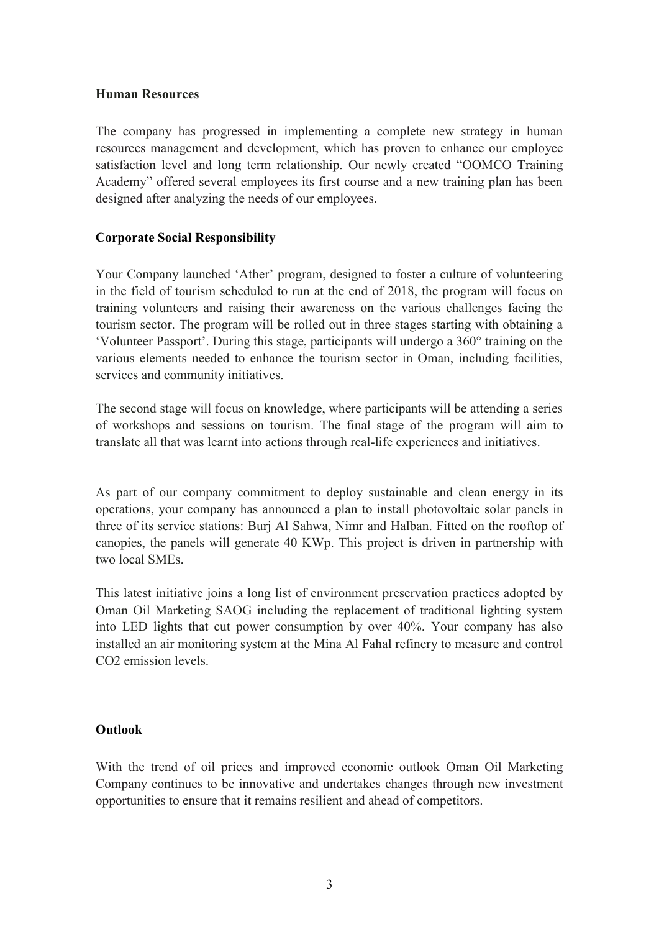#### **Human Resources**

The company has progressed in implementing a complete new strategy in human resources management and development, which has proven to enhance our employee satisfaction level and long term relationship. Our newly created "OOMCO Training Academy" offered several employees its first course and a new training plan has been designed after analyzing the needs of our employees.

# **Corporate Social Responsibility**

Your Company launched 'Ather' program, designed to foster a culture of volunteering in the field of tourism scheduled to run at the end of 2018, the program will focus on training volunteers and raising their awareness on the various challenges facing the tourism sector. The program will be rolled out in three stages starting with obtaining a 'Volunteer Passport'. During this stage, participants will undergo a 360° training on the various elements needed to enhance the tourism sector in Oman, including facilities, services and community initiatives.

The second stage will focus on knowledge, where participants will be attending a series of workshops and sessions on tourism. The final stage of the program will aim to translate all that was learnt into actions through real-life experiences and initiatives.

As part of our company commitment to deploy sustainable and clean energy in its operations, your company has announced a plan to install photovoltaic solar panels in three of its service stations: Burj Al Sahwa, Nimr and Halban. Fitted on the rooftop of canopies, the panels will generate 40 KWp. This project is driven in partnership with two local SMEs.

This latest initiative joins a long list of environment preservation practices adopted by Oman Oil Marketing SAOG including the replacement of traditional lighting system into LED lights that cut power consumption by over 40%. Your company has also installed an air monitoring system at the Mina Al Fahal refinery to measure and control CO2 emission levels.

# **Outlook**

With the trend of oil prices and improved economic outlook Oman Oil Marketing Company continues to be innovative and undertakes changes through new investment opportunities to ensure that it remains resilient and ahead of competitors.